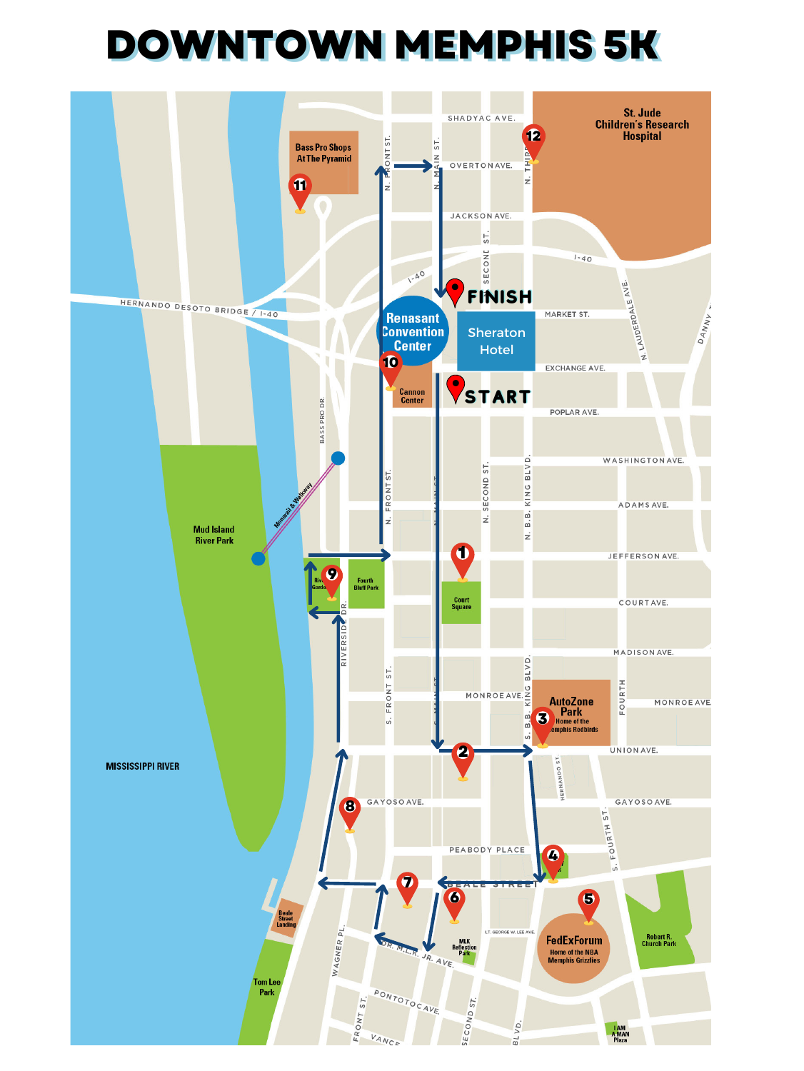## DOWNTOWN MEMPHIS 5K